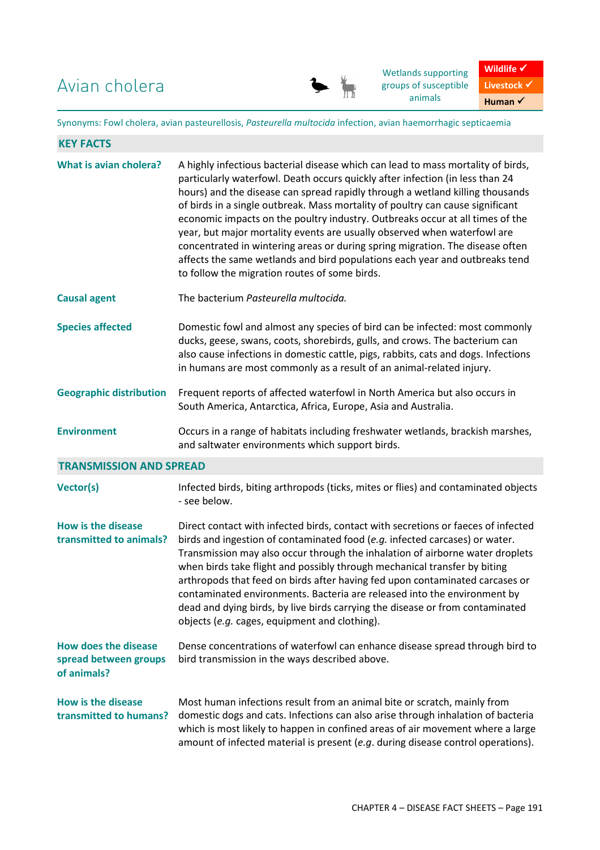Avian cholera



Wetlands supporting groups of susceptible animals



Synonyms: Fowl cholera, avian pasteurellosis, *Pasteurella multocida* infection, avian haemorrhagic septicaemia

| <b>KEY FACTS</b>                                                    |                                                                                                                                                                                                                                                                                                                                                                                                                                                                                                                                                                                                                                                                                                                    |
|---------------------------------------------------------------------|--------------------------------------------------------------------------------------------------------------------------------------------------------------------------------------------------------------------------------------------------------------------------------------------------------------------------------------------------------------------------------------------------------------------------------------------------------------------------------------------------------------------------------------------------------------------------------------------------------------------------------------------------------------------------------------------------------------------|
| What is avian cholera?                                              | A highly infectious bacterial disease which can lead to mass mortality of birds,<br>particularly waterfowl. Death occurs quickly after infection (in less than 24<br>hours) and the disease can spread rapidly through a wetland killing thousands<br>of birds in a single outbreak. Mass mortality of poultry can cause significant<br>economic impacts on the poultry industry. Outbreaks occur at all times of the<br>year, but major mortality events are usually observed when waterfowl are<br>concentrated in wintering areas or during spring migration. The disease often<br>affects the same wetlands and bird populations each year and outbreaks tend<br>to follow the migration routes of some birds. |
| <b>Causal agent</b>                                                 | The bacterium Pasteurella multocida.                                                                                                                                                                                                                                                                                                                                                                                                                                                                                                                                                                                                                                                                               |
| <b>Species affected</b>                                             | Domestic fowl and almost any species of bird can be infected: most commonly<br>ducks, geese, swans, coots, shorebirds, gulls, and crows. The bacterium can<br>also cause infections in domestic cattle, pigs, rabbits, cats and dogs. Infections<br>in humans are most commonly as a result of an animal-related injury.                                                                                                                                                                                                                                                                                                                                                                                           |
| <b>Geographic distribution</b>                                      | Frequent reports of affected waterfowl in North America but also occurs in<br>South America, Antarctica, Africa, Europe, Asia and Australia.                                                                                                                                                                                                                                                                                                                                                                                                                                                                                                                                                                       |
| <b>Environment</b>                                                  | Occurs in a range of habitats including freshwater wetlands, brackish marshes,<br>and saltwater environments which support birds.                                                                                                                                                                                                                                                                                                                                                                                                                                                                                                                                                                                  |
| <b>TRANSMISSION AND SPREAD</b>                                      |                                                                                                                                                                                                                                                                                                                                                                                                                                                                                                                                                                                                                                                                                                                    |
| Vector(s)                                                           | Infected birds, biting arthropods (ticks, mites or flies) and contaminated objects<br>- see below.                                                                                                                                                                                                                                                                                                                                                                                                                                                                                                                                                                                                                 |
| <b>How is the disease</b><br>transmitted to animals?                | Direct contact with infected birds, contact with secretions or faeces of infected<br>birds and ingestion of contaminated food (e.g. infected carcases) or water.<br>Transmission may also occur through the inhalation of airborne water droplets<br>when birds take flight and possibly through mechanical transfer by biting<br>arthropods that feed on birds after having fed upon contaminated carcases or<br>contaminated environments. Bacteria are released into the environment by<br>dead and dying birds, by live birds carrying the disease or from contaminated<br>objects (e.g. cages, equipment and clothing).                                                                                       |
| <b>How does the disease</b><br>spread between groups<br>of animals? | Dense concentrations of waterfowl can enhance disease spread through bird to<br>bird transmission in the ways described above.                                                                                                                                                                                                                                                                                                                                                                                                                                                                                                                                                                                     |
| <b>How is the disease</b><br>transmitted to humans?                 | Most human infections result from an animal bite or scratch, mainly from<br>domestic dogs and cats. Infections can also arise through inhalation of bacteria<br>which is most likely to happen in confined areas of air movement where a large<br>amount of infected material is present (e.g. during disease control operations).                                                                                                                                                                                                                                                                                                                                                                                 |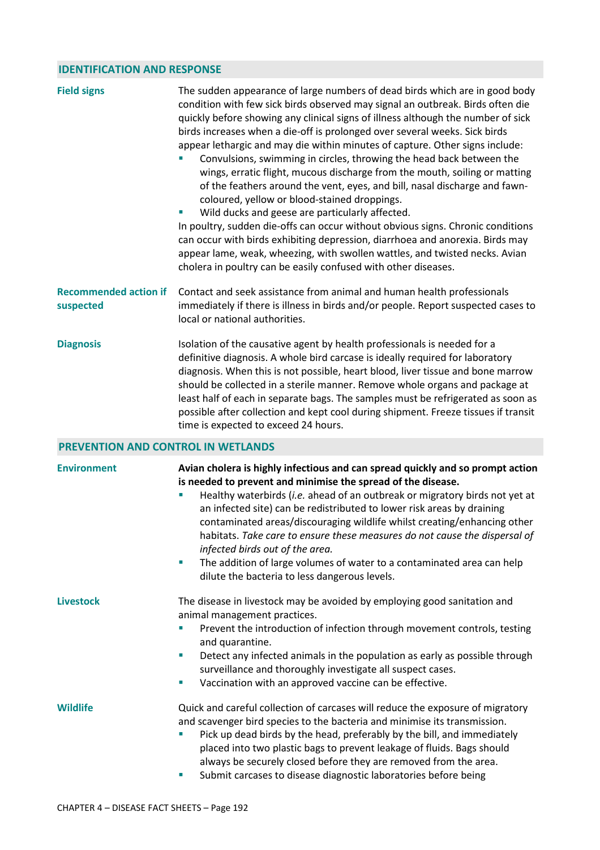## **IDENTIFICATION AND RESPONSE**

| <b>Field signs</b>                        | The sudden appearance of large numbers of dead birds which are in good body<br>condition with few sick birds observed may signal an outbreak. Birds often die<br>quickly before showing any clinical signs of illness although the number of sick<br>birds increases when a die-off is prolonged over several weeks. Sick birds<br>appear lethargic and may die within minutes of capture. Other signs include:<br>Convulsions, swimming in circles, throwing the head back between the<br>wings, erratic flight, mucous discharge from the mouth, soiling or matting<br>of the feathers around the vent, eyes, and bill, nasal discharge and fawn-<br>coloured, yellow or blood-stained droppings.<br>Wild ducks and geese are particularly affected.<br>In poultry, sudden die-offs can occur without obvious signs. Chronic conditions<br>can occur with birds exhibiting depression, diarrhoea and anorexia. Birds may<br>appear lame, weak, wheezing, with swollen wattles, and twisted necks. Avian<br>cholera in poultry can be easily confused with other diseases. |  |  |  |
|-------------------------------------------|-----------------------------------------------------------------------------------------------------------------------------------------------------------------------------------------------------------------------------------------------------------------------------------------------------------------------------------------------------------------------------------------------------------------------------------------------------------------------------------------------------------------------------------------------------------------------------------------------------------------------------------------------------------------------------------------------------------------------------------------------------------------------------------------------------------------------------------------------------------------------------------------------------------------------------------------------------------------------------------------------------------------------------------------------------------------------------|--|--|--|
| <b>Recommended action if</b><br>suspected | Contact and seek assistance from animal and human health professionals<br>immediately if there is illness in birds and/or people. Report suspected cases to<br>local or national authorities.                                                                                                                                                                                                                                                                                                                                                                                                                                                                                                                                                                                                                                                                                                                                                                                                                                                                               |  |  |  |
| <b>Diagnosis</b>                          | Isolation of the causative agent by health professionals is needed for a<br>definitive diagnosis. A whole bird carcase is ideally required for laboratory<br>diagnosis. When this is not possible, heart blood, liver tissue and bone marrow<br>should be collected in a sterile manner. Remove whole organs and package at<br>least half of each in separate bags. The samples must be refrigerated as soon as<br>possible after collection and kept cool during shipment. Freeze tissues if transit<br>time is expected to exceed 24 hours.                                                                                                                                                                                                                                                                                                                                                                                                                                                                                                                               |  |  |  |
| <b>PREVENTION AND CONTROL IN WETLANDS</b> |                                                                                                                                                                                                                                                                                                                                                                                                                                                                                                                                                                                                                                                                                                                                                                                                                                                                                                                                                                                                                                                                             |  |  |  |
| <b>Environment</b>                        | Avian cholera is highly infectious and can spread quickly and so prompt action<br>is needed to prevent and minimise the spread of the disease.<br>Healthy waterbirds (i.e. ahead of an outbreak or migratory birds not yet at<br>an infected site) can be redistributed to lower risk areas by draining<br>contaminated areas/discouraging wildlife whilst creating/enhancing other<br>habitats. Take care to ensure these measures do not cause the dispersal of<br>infected birds out of the area.<br>The addition of large volumes of water to a contaminated area can help<br>×<br>dilute the bacteria to less dangerous levels.                                                                                                                                                                                                                                                                                                                                                                                                                                        |  |  |  |
| <b>Livestock</b>                          | The disease in livestock may be avoided by employing good sanitation and<br>animal management practices.<br>Prevent the introduction of infection through movement controls, testing<br>and quarantine.<br>Detect any infected animals in the population as early as possible through<br>ш<br>surveillance and thoroughly investigate all suspect cases.<br>Vaccination with an approved vaccine can be effective.<br>ш                                                                                                                                                                                                                                                                                                                                                                                                                                                                                                                                                                                                                                                     |  |  |  |
| <b>Wildlife</b>                           | Quick and careful collection of carcases will reduce the exposure of migratory<br>and scavenger bird species to the bacteria and minimise its transmission.<br>Pick up dead birds by the head, preferably by the bill, and immediately<br>placed into two plastic bags to prevent leakage of fluids. Bags should<br>always be securely closed before they are removed from the area.<br>Submit carcases to disease diagnostic laboratories before being                                                                                                                                                                                                                                                                                                                                                                                                                                                                                                                                                                                                                     |  |  |  |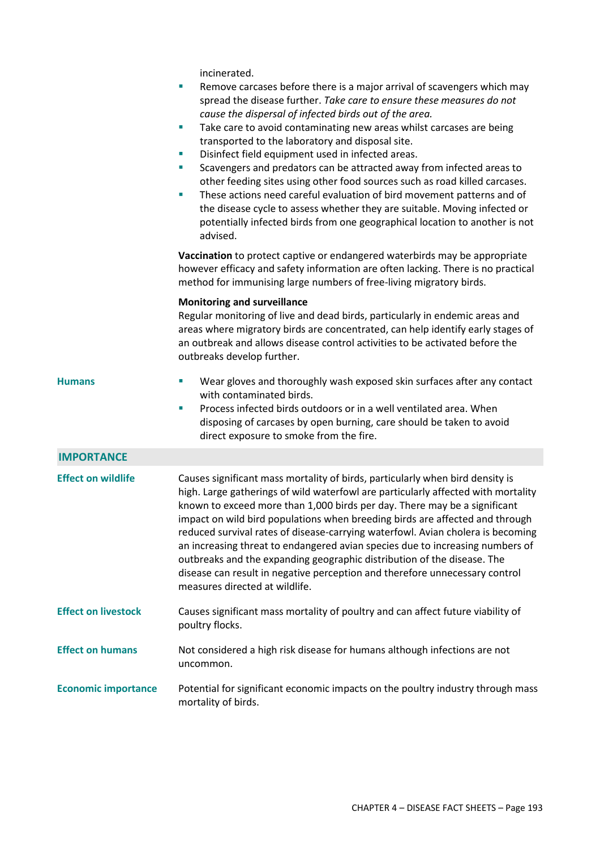incinerated.

|                            | Remove carcases before there is a major arrival of scavengers which may<br>I.<br>spread the disease further. Take care to ensure these measures do not<br>cause the dispersal of infected birds out of the area.<br>Take care to avoid contaminating new areas whilst carcases are being<br>$\mathcal{L}_{\mathcal{A}}$<br>transported to the laboratory and disposal site.<br>Disinfect field equipment used in infected areas.<br>Scavengers and predators can be attracted away from infected areas to<br>×<br>other feeding sites using other food sources such as road killed carcases.<br>These actions need careful evaluation of bird movement patterns and of<br>ш<br>the disease cycle to assess whether they are suitable. Moving infected or<br>potentially infected birds from one geographical location to another is not<br>advised.<br>Vaccination to protect captive or endangered waterbirds may be appropriate<br>however efficacy and safety information are often lacking. There is no practical<br>method for immunising large numbers of free-living migratory birds. |
|----------------------------|----------------------------------------------------------------------------------------------------------------------------------------------------------------------------------------------------------------------------------------------------------------------------------------------------------------------------------------------------------------------------------------------------------------------------------------------------------------------------------------------------------------------------------------------------------------------------------------------------------------------------------------------------------------------------------------------------------------------------------------------------------------------------------------------------------------------------------------------------------------------------------------------------------------------------------------------------------------------------------------------------------------------------------------------------------------------------------------------|
|                            | <b>Monitoring and surveillance</b><br>Regular monitoring of live and dead birds, particularly in endemic areas and<br>areas where migratory birds are concentrated, can help identify early stages of<br>an outbreak and allows disease control activities to be activated before the<br>outbreaks develop further.                                                                                                                                                                                                                                                                                                                                                                                                                                                                                                                                                                                                                                                                                                                                                                          |
| <b>Humans</b>              | Wear gloves and thoroughly wash exposed skin surfaces after any contact<br>ш<br>with contaminated birds.<br>Process infected birds outdoors or in a well ventilated area. When<br>×<br>disposing of carcases by open burning, care should be taken to avoid<br>direct exposure to smoke from the fire.                                                                                                                                                                                                                                                                                                                                                                                                                                                                                                                                                                                                                                                                                                                                                                                       |
| <b>IMPORTANCE</b>          |                                                                                                                                                                                                                                                                                                                                                                                                                                                                                                                                                                                                                                                                                                                                                                                                                                                                                                                                                                                                                                                                                              |
| <b>Effect on wildlife</b>  | Causes significant mass mortality of birds, particularly when bird density is<br>high. Large gatherings of wild waterfowl are particularly affected with mortality<br>known to exceed more than 1,000 birds per day. There may be a significant<br>impact on wild bird populations when breeding birds are affected and through<br>reduced survival rates of disease-carrying waterfowl. Avian cholera is becoming<br>an increasing threat to endangered avian species due to increasing numbers of<br>outbreaks and the expanding geographic distribution of the disease. The<br>disease can result in negative perception and therefore unnecessary control<br>measures directed at wildlife.                                                                                                                                                                                                                                                                                                                                                                                              |
| <b>Effect on livestock</b> | Causes significant mass mortality of poultry and can affect future viability of<br>poultry flocks.                                                                                                                                                                                                                                                                                                                                                                                                                                                                                                                                                                                                                                                                                                                                                                                                                                                                                                                                                                                           |
| <b>Effect on humans</b>    | Not considered a high risk disease for humans although infections are not<br>uncommon.                                                                                                                                                                                                                                                                                                                                                                                                                                                                                                                                                                                                                                                                                                                                                                                                                                                                                                                                                                                                       |
| <b>Economic importance</b> | Potential for significant economic impacts on the poultry industry through mass<br>mortality of birds.                                                                                                                                                                                                                                                                                                                                                                                                                                                                                                                                                                                                                                                                                                                                                                                                                                                                                                                                                                                       |